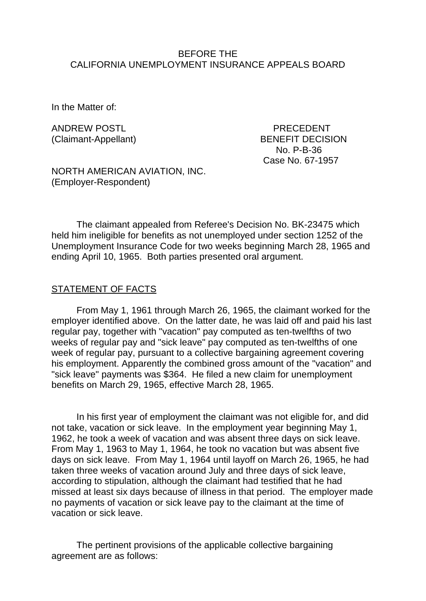### BEFORE THE CALIFORNIA UNEMPLOYMENT INSURANCE APPEALS BOARD

In the Matter of:

ANDREW POSTI **EXAMPLE 20** PRECEDENT

(Claimant-Appellant) BENEFIT DECISION No. P-B-36 Case No. 67-1957

NORTH AMERICAN AVIATION, INC. (Employer-Respondent)

The claimant appealed from Referee's Decision No. BK-23475 which held him ineligible for benefits as not unemployed under section 1252 of the Unemployment Insurance Code for two weeks beginning March 28, 1965 and ending April 10, 1965. Both parties presented oral argument.

#### STATEMENT OF FACTS

From May 1, 1961 through March 26, 1965, the claimant worked for the employer identified above. On the latter date, he was laid off and paid his last regular pay, together with "vacation" pay computed as ten-twelfths of two weeks of regular pay and "sick leave" pay computed as ten-twelfths of one week of regular pay, pursuant to a collective bargaining agreement covering his employment. Apparently the combined gross amount of the "vacation" and "sick leave" payments was \$364. He filed a new claim for unemployment benefits on March 29, 1965, effective March 28, 1965.

In his first year of employment the claimant was not eligible for, and did not take, vacation or sick leave. In the employment year beginning May 1, 1962, he took a week of vacation and was absent three days on sick leave. From May 1, 1963 to May 1, 1964, he took no vacation but was absent five days on sick leave. From May 1, 1964 until layoff on March 26, 1965, he had taken three weeks of vacation around July and three days of sick leave, according to stipulation, although the claimant had testified that he had missed at least six days because of illness in that period. The employer made no payments of vacation or sick leave pay to the claimant at the time of vacation or sick leave.

The pertinent provisions of the applicable collective bargaining agreement are as follows: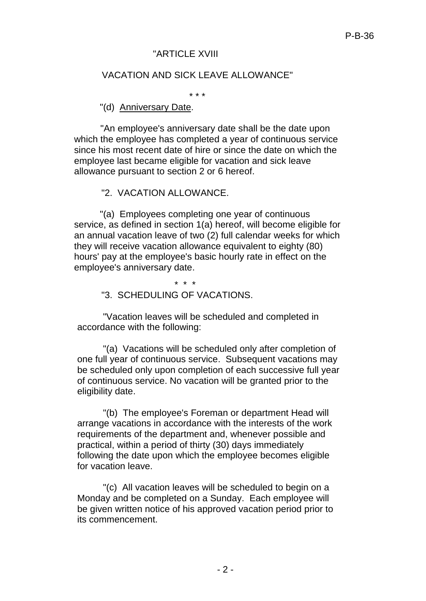# "ARTICI F XVIII

# VACATION AND SICK LEAVE ALLOWANCE"

\* \* \*

#### "(d) Anniversary Date.

"An employee's anniversary date shall be the date upon which the employee has completed a year of continuous service since his most recent date of hire or since the date on which the employee last became eligible for vacation and sick leave allowance pursuant to section 2 or 6 hereof.

## "2. VACATION ALLOWANCE.

"(a) Employees completing one year of continuous service, as defined in section 1(a) hereof, will become eligible for an annual vacation leave of two (2) full calendar weeks for which they will receive vacation allowance equivalent to eighty (80) hours' pay at the employee's basic hourly rate in effect on the employee's anniversary date.

\* \* \*

#### "3. SCHEDULING OF VACATIONS.

"Vacation leaves will be scheduled and completed in accordance with the following:

"(a) Vacations will be scheduled only after completion of one full year of continuous service. Subsequent vacations may be scheduled only upon completion of each successive full year of continuous service. No vacation will be granted prior to the eligibility date.

"(b) The employee's Foreman or department Head will arrange vacations in accordance with the interests of the work requirements of the department and, whenever possible and practical, within a period of thirty (30) days immediately following the date upon which the employee becomes eligible for vacation leave.

"(c) All vacation leaves will be scheduled to begin on a Monday and be completed on a Sunday. Each employee will be given written notice of his approved vacation period prior to its commencement.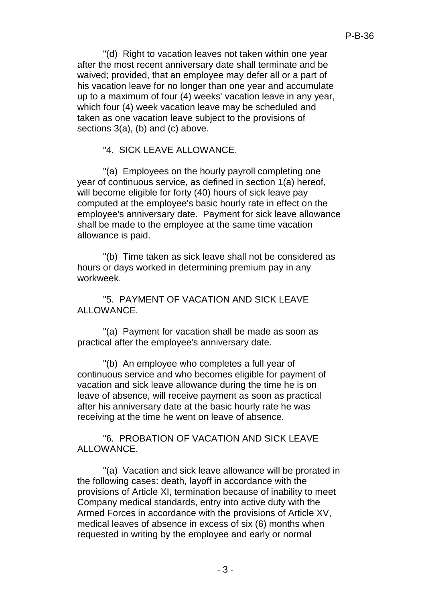"(d) Right to vacation leaves not taken within one year after the most recent anniversary date shall terminate and be waived; provided, that an employee may defer all or a part of his vacation leave for no longer than one year and accumulate up to a maximum of four (4) weeks' vacation leave in any year, which four (4) week vacation leave may be scheduled and taken as one vacation leave subject to the provisions of sections 3(a), (b) and (c) above.

"4. SICK LEAVE ALLOWANCE.

"(a) Employees on the hourly payroll completing one year of continuous service, as defined in section 1(a) hereof, will become eligible for forty (40) hours of sick leave pay computed at the employee's basic hourly rate in effect on the employee's anniversary date. Payment for sick leave allowance shall be made to the employee at the same time vacation allowance is paid.

"(b) Time taken as sick leave shall not be considered as hours or days worked in determining premium pay in any workweek.

"5. PAYMENT OF VACATION AND SICK LEAVE ALLOWANCE.

"(a) Payment for vacation shall be made as soon as practical after the employee's anniversary date.

"(b) An employee who completes a full year of continuous service and who becomes eligible for payment of vacation and sick leave allowance during the time he is on leave of absence, will receive payment as soon as practical after his anniversary date at the basic hourly rate he was receiving at the time he went on leave of absence.

"6. PROBATION OF VACATION AND SICK LEAVE ALLOWANCE.

"(a) Vacation and sick leave allowance will be prorated in the following cases: death, layoff in accordance with the provisions of Article XI, termination because of inability to meet Company medical standards, entry into active duty with the Armed Forces in accordance with the provisions of Article XV, medical leaves of absence in excess of six (6) months when requested in writing by the employee and early or normal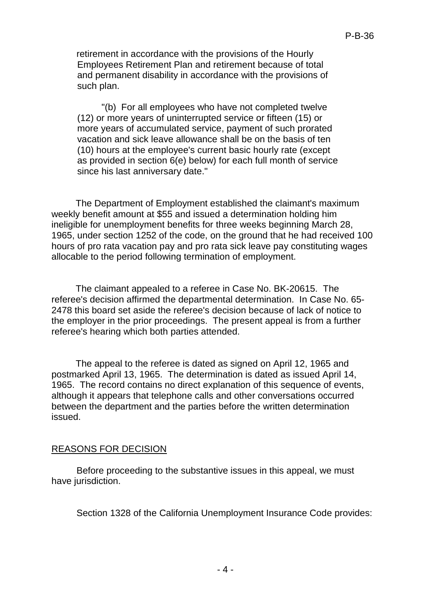retirement in accordance with the provisions of the Hourly Employees Retirement Plan and retirement because of total and permanent disability in accordance with the provisions of such plan.

"(b) For all employees who have not completed twelve (12) or more years of uninterrupted service or fifteen (15) or more years of accumulated service, payment of such prorated vacation and sick leave allowance shall be on the basis of ten (10) hours at the employee's current basic hourly rate (except as provided in section 6(e) below) for each full month of service since his last anniversary date."

The Department of Employment established the claimant's maximum weekly benefit amount at \$55 and issued a determination holding him ineligible for unemployment benefits for three weeks beginning March 28, 1965, under section 1252 of the code, on the ground that he had received 100 hours of pro rata vacation pay and pro rata sick leave pay constituting wages allocable to the period following termination of employment.

The claimant appealed to a referee in Case No. BK-20615. The referee's decision affirmed the departmental determination. In Case No. 65- 2478 this board set aside the referee's decision because of lack of notice to the employer in the prior proceedings. The present appeal is from a further referee's hearing which both parties attended.

The appeal to the referee is dated as signed on April 12, 1965 and postmarked April 13, 1965. The determination is dated as issued April 14, 1965. The record contains no direct explanation of this sequence of events, although it appears that telephone calls and other conversations occurred between the department and the parties before the written determination issued.

## REASONS FOR DECISION

Before proceeding to the substantive issues in this appeal, we must have jurisdiction.

Section 1328 of the California Unemployment Insurance Code provides: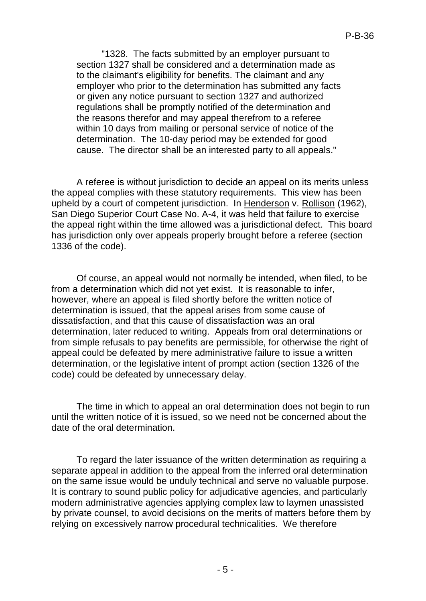"1328. The facts submitted by an employer pursuant to section 1327 shall be considered and a determination made as to the claimant's eligibility for benefits. The claimant and any employer who prior to the determination has submitted any facts or given any notice pursuant to section 1327 and authorized regulations shall be promptly notified of the determination and the reasons therefor and may appeal therefrom to a referee within 10 days from mailing or personal service of notice of the determination. The 10-day period may be extended for good cause. The director shall be an interested party to all appeals."

A referee is without jurisdiction to decide an appeal on its merits unless the appeal complies with these statutory requirements. This view has been upheld by a court of competent jurisdiction. In Henderson v. Rollison (1962), San Diego Superior Court Case No. A-4, it was held that failure to exercise the appeal right within the time allowed was a jurisdictional defect. This board has jurisdiction only over appeals properly brought before a referee (section 1336 of the code).

Of course, an appeal would not normally be intended, when filed, to be from a determination which did not yet exist. It is reasonable to infer, however, where an appeal is filed shortly before the written notice of determination is issued, that the appeal arises from some cause of dissatisfaction, and that this cause of dissatisfaction was an oral determination, later reduced to writing. Appeals from oral determinations or from simple refusals to pay benefits are permissible, for otherwise the right of appeal could be defeated by mere administrative failure to issue a written determination, or the legislative intent of prompt action (section 1326 of the code) could be defeated by unnecessary delay.

The time in which to appeal an oral determination does not begin to run until the written notice of it is issued, so we need not be concerned about the date of the oral determination.

To regard the later issuance of the written determination as requiring a separate appeal in addition to the appeal from the inferred oral determination on the same issue would be unduly technical and serve no valuable purpose. It is contrary to sound public policy for adjudicative agencies, and particularly modern administrative agencies applying complex law to laymen unassisted by private counsel, to avoid decisions on the merits of matters before them by relying on excessively narrow procedural technicalities. We therefore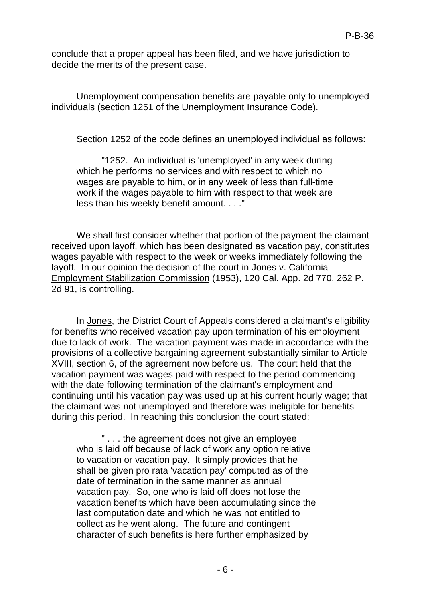conclude that a proper appeal has been filed, and we have jurisdiction to decide the merits of the present case.

Unemployment compensation benefits are payable only to unemployed individuals (section 1251 of the Unemployment Insurance Code).

Section 1252 of the code defines an unemployed individual as follows:

"1252. An individual is 'unemployed' in any week during which he performs no services and with respect to which no wages are payable to him, or in any week of less than full-time work if the wages payable to him with respect to that week are less than his weekly benefit amount. . . ."

We shall first consider whether that portion of the payment the claimant received upon layoff, which has been designated as vacation pay, constitutes wages payable with respect to the week or weeks immediately following the layoff. In our opinion the decision of the court in Jones v. California Employment Stabilization Commission (1953), 120 Cal. App. 2d 770, 262 P. 2d 91, is controlling.

In Jones, the District Court of Appeals considered a claimant's eligibility for benefits who received vacation pay upon termination of his employment due to lack of work. The vacation payment was made in accordance with the provisions of a collective bargaining agreement substantially similar to Article XVIII, section 6, of the agreement now before us. The court held that the vacation payment was wages paid with respect to the period commencing with the date following termination of the claimant's employment and continuing until his vacation pay was used up at his current hourly wage; that the claimant was not unemployed and therefore was ineligible for benefits during this period. In reaching this conclusion the court stated:

" . . . the agreement does not give an employee who is laid off because of lack of work any option relative to vacation or vacation pay. It simply provides that he shall be given pro rata 'vacation pay' computed as of the date of termination in the same manner as annual vacation pay. So, one who is laid off does not lose the vacation benefits which have been accumulating since the last computation date and which he was not entitled to collect as he went along. The future and contingent character of such benefits is here further emphasized by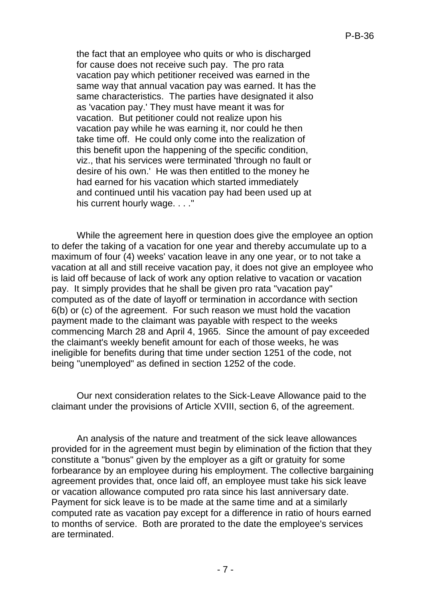the fact that an employee who quits or who is discharged for cause does not receive such pay. The pro rata vacation pay which petitioner received was earned in the same way that annual vacation pay was earned. It has the same characteristics. The parties have designated it also as 'vacation pay.' They must have meant it was for vacation. But petitioner could not realize upon his vacation pay while he was earning it, nor could he then take time off. He could only come into the realization of this benefit upon the happening of the specific condition, viz., that his services were terminated 'through no fault or desire of his own.' He was then entitled to the money he had earned for his vacation which started immediately and continued until his vacation pay had been used up at his current hourly wage. . . ."

While the agreement here in question does give the employee an option to defer the taking of a vacation for one year and thereby accumulate up to a maximum of four (4) weeks' vacation leave in any one year, or to not take a vacation at all and still receive vacation pay, it does not give an employee who is laid off because of lack of work any option relative to vacation or vacation pay. It simply provides that he shall be given pro rata "vacation pay" computed as of the date of layoff or termination in accordance with section 6(b) or (c) of the agreement. For such reason we must hold the vacation payment made to the claimant was payable with respect to the weeks commencing March 28 and April 4, 1965. Since the amount of pay exceeded the claimant's weekly benefit amount for each of those weeks, he was ineligible for benefits during that time under section 1251 of the code, not being "unemployed" as defined in section 1252 of the code.

Our next consideration relates to the Sick-Leave Allowance paid to the claimant under the provisions of Article XVIII, section 6, of the agreement.

An analysis of the nature and treatment of the sick leave allowances provided for in the agreement must begin by elimination of the fiction that they constitute a "bonus" given by the employer as a gift or gratuity for some forbearance by an employee during his employment. The collective bargaining agreement provides that, once laid off, an employee must take his sick leave or vacation allowance computed pro rata since his last anniversary date. Payment for sick leave is to be made at the same time and at a similarly computed rate as vacation pay except for a difference in ratio of hours earned to months of service. Both are prorated to the date the employee's services are terminated.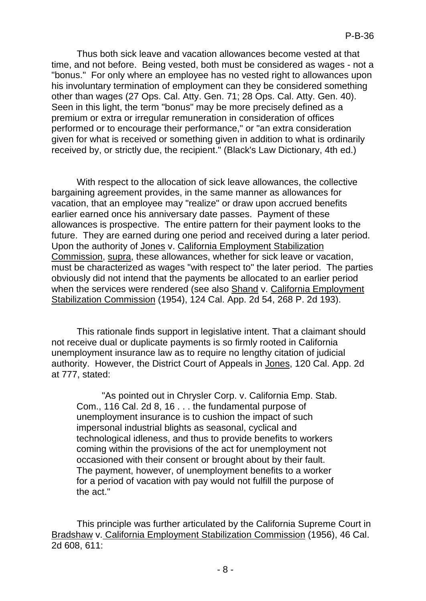Thus both sick leave and vacation allowances become vested at that time, and not before. Being vested, both must be considered as wages - not a "bonus." For only where an employee has no vested right to allowances upon his involuntary termination of employment can they be considered something other than wages (27 Ops. Cal. Atty. Gen. 71; 28 Ops. Cal. Atty. Gen. 40). Seen in this light, the term "bonus" may be more precisely defined as a premium or extra or irregular remuneration in consideration of offices performed or to encourage their performance," or "an extra consideration given for what is received or something given in addition to what is ordinarily received by, or strictly due, the recipient." (Black's Law Dictionary, 4th ed.)

With respect to the allocation of sick leave allowances, the collective bargaining agreement provides, in the same manner as allowances for vacation, that an employee may "realize" or draw upon accrued benefits earlier earned once his anniversary date passes. Payment of these allowances is prospective. The entire pattern for their payment looks to the future. They are earned during one period and received during a later period. Upon the authority of Jones v. California Employment Stabilization Commission, supra, these allowances, whether for sick leave or vacation, must be characterized as wages "with respect to" the later period. The parties obviously did not intend that the payments be allocated to an earlier period when the services were rendered (see also Shand v. California Employment Stabilization Commission (1954), 124 Cal. App. 2d 54, 268 P. 2d 193).

This rationale finds support in legislative intent. That a claimant should not receive dual or duplicate payments is so firmly rooted in California unemployment insurance law as to require no lengthy citation of judicial authority. However, the District Court of Appeals in Jones, 120 Cal. App. 2d at 777, stated:

"As pointed out in Chrysler Corp. v. California Emp. Stab. Com., 116 Cal. 2d 8, 16 . . . the fundamental purpose of unemployment insurance is to cushion the impact of such impersonal industrial blights as seasonal, cyclical and technological idleness, and thus to provide benefits to workers coming within the provisions of the act for unemployment not occasioned with their consent or brought about by their fault. The payment, however, of unemployment benefits to a worker for a period of vacation with pay would not fulfill the purpose of the act."

This principle was further articulated by the California Supreme Court in Bradshaw v. California Employment Stabilization Commission (1956), 46 Cal. 2d 608, 611: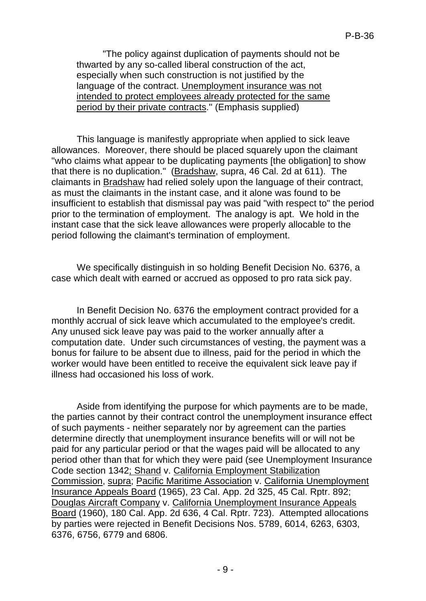"The policy against duplication of payments should not be thwarted by any so-called liberal construction of the act, especially when such construction is not justified by the language of the contract. Unemployment insurance was not intended to protect employees already protected for the same period by their private contracts.'' (Emphasis supplied)

This language is manifestly appropriate when applied to sick leave allowances. Moreover, there should be placed squarely upon the claimant "who claims what appear to be duplicating payments [the obligation] to show that there is no duplication." (Bradshaw, supra, 46 Cal. 2d at 611). The claimants in Bradshaw had relied solely upon the language of their contract, as must the claimants in the instant case, and it alone was found to be insufficient to establish that dismissal pay was paid "with respect to" the period prior to the termination of employment. The analogy is apt. We hold in the instant case that the sick leave allowances were properly allocable to the period following the claimant's termination of employment.

We specifically distinguish in so holding Benefit Decision No. 6376, a case which dealt with earned or accrued as opposed to pro rata sick pay.

In Benefit Decision No. 6376 the employment contract provided for a monthly accrual of sick leave which accumulated to the employee's credit. Any unused sick leave pay was paid to the worker annually after a computation date. Under such circumstances of vesting, the payment was a bonus for failure to be absent due to illness, paid for the period in which the worker would have been entitled to receive the equivalent sick leave pay if illness had occasioned his loss of work.

Aside from identifying the purpose for which payments are to be made, the parties cannot by their contract control the unemployment insurance effect of such payments - neither separately nor by agreement can the parties determine directly that unemployment insurance benefits will or will not be paid for any particular period or that the wages paid will be allocated to any period other than that for which they were paid (see Unemployment Insurance Code section 1342; Shand v. California Employment Stabilization Commission, supra; Pacific Maritime Association v. California Unemployment Insurance Appeals Board (1965), 23 Cal. App. 2d 325, 45 Cal. Rptr. 892; Douglas Aircraft Company v. California Unemployment Insurance Appeals Board (1960), 180 Cal. App. 2d 636, 4 Cal. Rptr. 723). Attempted allocations by parties were rejected in Benefit Decisions Nos. 5789, 6014, 6263, 6303, 6376, 6756, 6779 and 6806.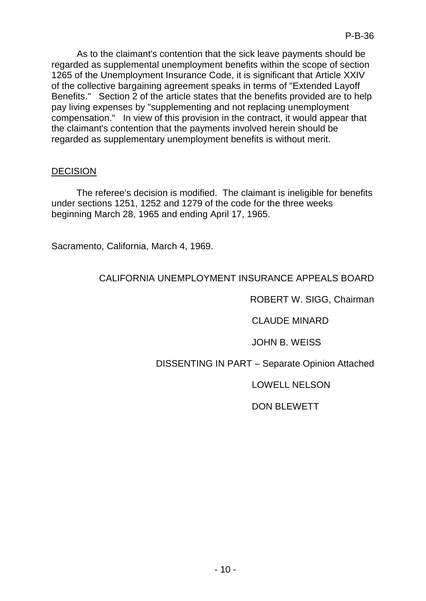As to the claimant's contention that the sick leave payments should be regarded as supplemental unemployment benefits within the scope of section 1265 of the Unemployment Insurance Code, it is significant that Article XXIV of the collective bargaining agreement speaks in terms of "Extended Layoff Benefits." Section 2 of the article states that the benefits provided are to help pay living expenses by "supplementing and not replacing unemployment compensation." In view of this provision in the contract, it would appear that the claimant's contention that the payments involved herein should be regarded as supplementary unemployment benefits is without merit.

## DECISION

The referee's decision is modified. The claimant is ineligible for benefits under sections 1251, 1252 and 1279 of the code for the three weeks beginning March 28, 1965 and ending April 17, 1965.

Sacramento, California, March 4, 1969.

# CALIFORNIA UNEMPLOYMENT INSURANCE APPEALS BOARD

ROBERT W. SIGG, Chairman

CLAUDE MINARD

JOHN B. WEISS

# DISSENTING IN PART – Separate Opinion Attached

LOWELL NELSON

# DON BLEWETT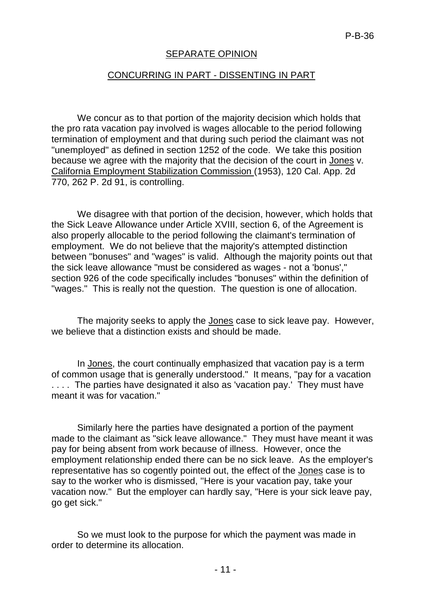### SEPARATE OPINION

#### CONCURRING IN PART - DISSENTING IN PART

We concur as to that portion of the majority decision which holds that the pro rata vacation pay involved is wages allocable to the period following termination of employment and that during such period the claimant was not "unemployed" as defined in section 1252 of the code. We take this position because we agree with the majority that the decision of the court in Jones v. California Employment Stabilization Commission (1953), 120 Cal. App. 2d 770, 262 P. 2d 91, is controlling.

We disagree with that portion of the decision, however, which holds that the Sick Leave Allowance under Article XVIII, section 6, of the Agreement is also properly allocable to the period following the claimant's termination of employment. We do not believe that the majority's attempted distinction between "bonuses" and "wages" is valid. Although the majority points out that the sick leave allowance "must be considered as wages - not a 'bonus'," section 926 of the code specifically includes "bonuses" within the definition of "wages." This is really not the question. The question is one of allocation.

The majority seeks to apply the Jones case to sick leave pay. However, we believe that a distinction exists and should be made.

In Jones, the court continually emphasized that vacation pay is a term of common usage that is generally understood." It means, "pay for a vacation .... The parties have designated it also as 'vacation pay.' They must have meant it was for vacation."

Similarly here the parties have designated a portion of the payment made to the claimant as "sick leave allowance." They must have meant it was pay for being absent from work because of illness. However, once the employment relationship ended there can be no sick leave. As the employer's representative has so cogently pointed out, the effect of the Jones case is to say to the worker who is dismissed, ''Here is your vacation pay, take your vacation now." But the employer can hardly say, "Here is your sick leave pay, go get sick."

So we must look to the purpose for which the payment was made in order to determine its allocation.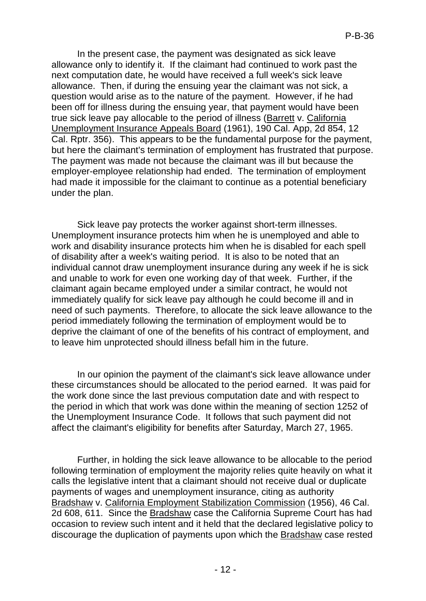In the present case, the payment was designated as sick leave allowance only to identify it. If the claimant had continued to work past the next computation date, he would have received a full week's sick leave allowance. Then, if during the ensuing year the claimant was not sick, a question would arise as to the nature of the payment. However, if he had been off for illness during the ensuing year, that payment would have been true sick leave pay allocable to the period of illness (Barrett v. California Unemployment Insurance Appeals Board (1961), 190 Cal. App, 2d 854, 12 Cal. Rptr. 356). This appears to be the fundamental purpose for the payment, but here the claimant's termination of employment has frustrated that purpose. The payment was made not because the claimant was ill but because the employer-employee relationship had ended. The termination of employment had made it impossible for the claimant to continue as a potential beneficiary under the plan.

Sick leave pay protects the worker against short-term illnesses. Unemployment insurance protects him when he is unemployed and able to work and disability insurance protects him when he is disabled for each spell of disability after a week's waiting period. It is also to be noted that an individual cannot draw unemployment insurance during any week if he is sick and unable to work for even one working day of that week. Further, if the claimant again became employed under a similar contract, he would not immediately qualify for sick leave pay although he could become ill and in need of such payments. Therefore, to allocate the sick leave allowance to the period immediately following the termination of employment would be to deprive the claimant of one of the benefits of his contract of employment, and to leave him unprotected should illness befall him in the future.

In our opinion the payment of the claimant's sick leave allowance under these circumstances should be allocated to the period earned. It was paid for the work done since the last previous computation date and with respect to the period in which that work was done within the meaning of section 1252 of the Unemployment Insurance Code. It follows that such payment did not affect the claimant's eligibility for benefits after Saturday, March 27, 1965.

Further, in holding the sick leave allowance to be allocable to the period following termination of employment the majority relies quite heavily on what it calls the legislative intent that a claimant should not receive dual or duplicate payments of wages and unemployment insurance, citing as authority Bradshaw v. California Employment Stabilization Commission (1956), 46 Cal. 2d 608, 611. Since the Bradshaw case the California Supreme Court has had occasion to review such intent and it held that the declared legislative policy to discourage the duplication of payments upon which the Bradshaw case rested